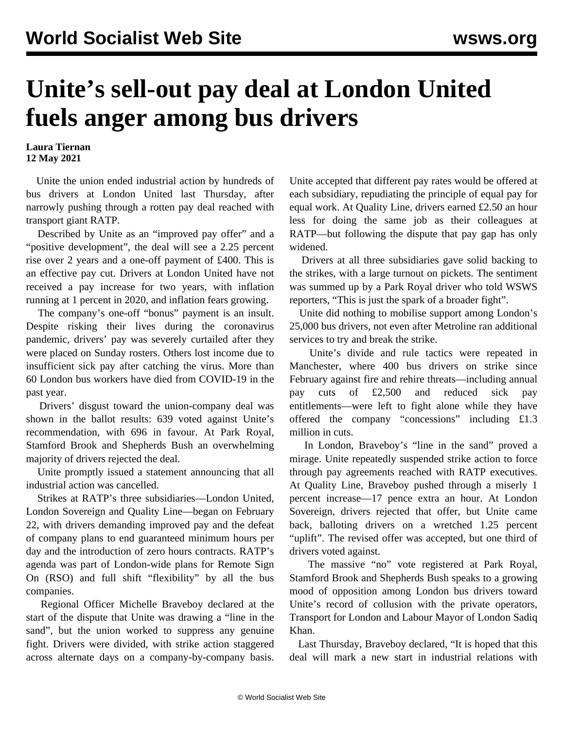## **Unite's sell-out pay deal at London United fuels anger among bus drivers**

## **Laura Tiernan 12 May 2021**

 Unite the union ended industrial action by hundreds of bus drivers at London United last Thursday, after narrowly pushing through a rotten pay deal reached with transport giant RATP.

 Described by Unite as an "improved pay offer" and a "positive development", the deal will see a 2.25 percent rise over 2 years and a one-off payment of £400. This is an effective pay cut. Drivers at London United have not received a pay increase for two years, with inflation running at 1 percent in 2020, and inflation fears growing.

 The company's one-off "bonus" payment is an insult. Despite risking their lives during the coronavirus pandemic, drivers' pay was severely curtailed after they were placed on Sunday rosters. Others lost income due to insufficient sick pay after catching the virus. More than 60 London bus workers have died from COVID-19 in the past year.

 Drivers' disgust toward the union-company deal was shown in the ballot results: 639 voted against Unite's recommendation, with 696 in favour. At Park Royal, Stamford Brook and Shepherds Bush an overwhelming majority of drivers rejected the deal.

 Unite promptly issued a statement announcing that all industrial action was cancelled.

 Strikes at RATP's three subsidiaries—London United, London Sovereign and Quality Line—began on February 22, with drivers demanding improved pay and the defeat of company plans to end guaranteed minimum hours per day and the introduction of zero hours contracts. RATP's agenda was part of London-wide plans for Remote Sign On (RSO) and full shift "flexibility" by all the bus companies.

 Regional Officer Michelle Braveboy declared at the start of the dispute that Unite was drawing a "line in the sand", but the union worked to suppress any genuine fight. Drivers were divided, with strike action staggered across alternate days on a company-by-company basis.

Unite accepted that different pay rates would be offered at each subsidiary, repudiating the principle of equal pay for equal work. At Quality Line, drivers earned £2.50 an hour less for doing the same job as their colleagues at RATP—but following the dispute that pay gap has only widened.

 Drivers at all three subsidiaries gave solid backing to the strikes, with a large turnout on pickets. The sentiment was summed up by a Park Royal driver who told WSWS reporters, "This is just the spark of a broader fight".

 Unite did nothing to mobilise support among London's 25,000 bus drivers, not even after Metroline ran additional services to try and break the strike.

 Unite's divide and rule tactics were repeated in Manchester, where 400 bus drivers on strike since February against fire and rehire threats—including annual pay cuts of £2,500 and reduced sick pay entitlements—were left to fight alone while they have offered the company "concessions" including £1.3 million in cuts.

 In London, Braveboy's "line in the sand" proved a mirage. Unite repeatedly suspended strike action to force through pay agreements reached with RATP executives. At Quality Line, Braveboy pushed through a miserly 1 percent increase—17 pence extra an hour. At London Sovereign, drivers rejected that offer, but Unite came back, balloting drivers on a wretched 1.25 percent "uplift". The revised offer was accepted, but one third of drivers voted against.

 The massive "no" vote registered at Park Royal, Stamford Brook and Shepherds Bush speaks to a growing mood of opposition among London bus drivers toward Unite's record of collusion with the private operators, Transport for London and Labour Mayor of London Sadiq Khan.

 Last Thursday, Braveboy declared, "It is hoped that this deal will mark a new start in industrial relations with